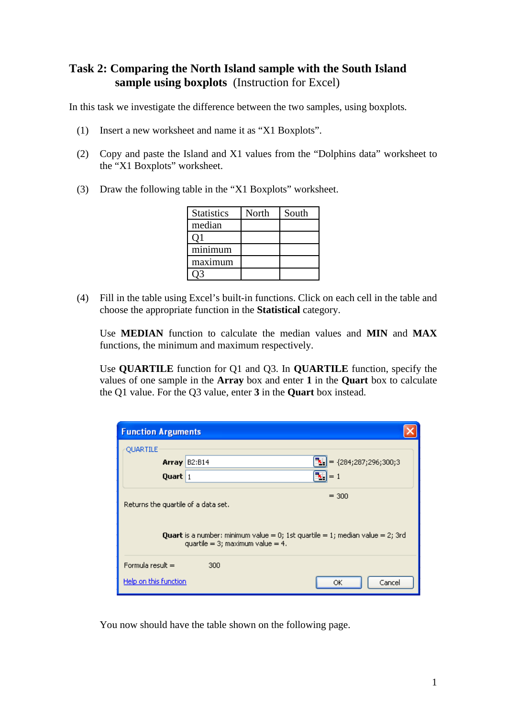## **Task 2: Comparing the North Island sample with the South Island sample using boxplots** (Instruction for Excel)

In this task we investigate the difference between the two samples, using boxplots.

- (1) Insert a new worksheet and name it as "X1 Boxplots".
- (2) Copy and paste the Island and X1 values from the "Dolphins data" worksheet to the "X1 Boxplots" worksheet.
- (3) Draw the following table in the "X1 Boxplots" worksheet.

| <b>Statistics</b> | North | South |
|-------------------|-------|-------|
| median            |       |       |
| O1                |       |       |
| minimum           |       |       |
| maximum           |       |       |
|                   |       |       |

(4) Fill in the table using Excel's built-in functions. Click on each cell in the table and choose the appropriate function in the **Statistical** category.

Use **MEDIAN** function to calculate the median values and **MIN** and **MAX** functions, the minimum and maximum respectively.

Use **QUARTILE** function for Q1 and Q3. In **QUARTILE** function, specify the values of one sample in the **Array** box and enter **1** in the **Quart** box to calculate the Q1 value. For the Q3 value, enter **3** in the **Quart** box instead.

| <b>Function Arguments</b>                                                                                                              |                                        |                                   |  |
|----------------------------------------------------------------------------------------------------------------------------------------|----------------------------------------|-----------------------------------|--|
| <b>OUARTILE</b>                                                                                                                        |                                        |                                   |  |
|                                                                                                                                        | <b>Array   B2:B14</b>                  | $\mathbf{k}$ = {284;287;296;300;3 |  |
| Quart 1                                                                                                                                |                                        | $\mathbf{k}$ , $ =1$              |  |
| $= 300$<br>Returns the quartile of a data set.<br><b>Quart</b> is a number: minimum value = 0; 1st quartile = 1; median value = 2; 3rd |                                        |                                   |  |
|                                                                                                                                        | quartile = $3$ ; maximum value = $4$ . |                                   |  |
| Formula result $=$                                                                                                                     | 300                                    |                                   |  |
| Help on this function                                                                                                                  |                                        | Cancel<br>ОК                      |  |

You now should have the table shown on the following page.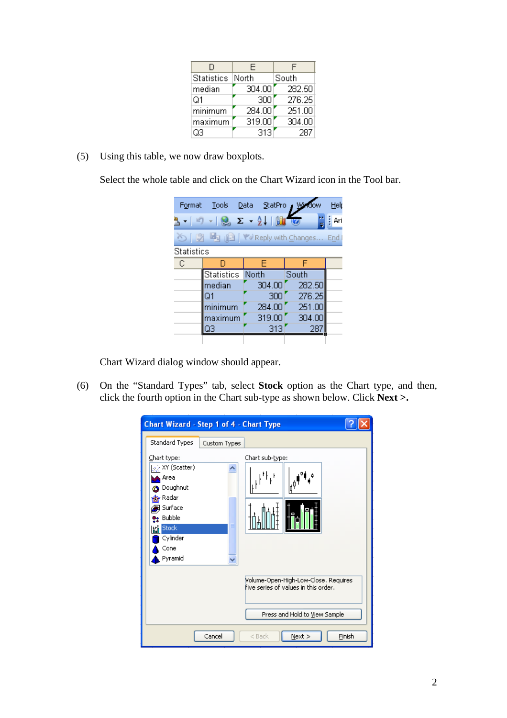| D                 | F      | F      |
|-------------------|--------|--------|
| <b>Statistics</b> | North  | South  |
| median            | 304.00 | 282.50 |
| Q1                | 300    | 276.25 |
| minimum           | 284.00 | 251.00 |
| maximum           | 319.00 | 304.00 |
| QЗ                | 313    | 287    |

(5) Using this table, we now draw boxplots.

Select the whole table and click on the Chart Wizard icon in the Tool bar.

| Format            | Tools             | Data StatPro         | Window | Help |
|-------------------|-------------------|----------------------|--------|------|
|                   |                   | -   -ワ -   9 エ - 2 - |        | Ari  |
|                   |                   |                      |        |      |
| <b>Statistics</b> |                   |                      |        |      |
| -C                | D                 | Ε                    | F      |      |
|                   | <b>Statistics</b> | North                | South  |      |
|                   | median            | 304.00               | 282.50 |      |
|                   | Q1                | 300                  | 276.25 |      |
|                   | minimum           | 284.00               | 251.00 |      |
|                   | maximum           | 319.00               | 304.00 |      |
|                   | QЗ                | 313                  | 28     |      |
|                   |                   |                      |        |      |

Chart Wizard dialog window should appear.

(6) On the "Standard Types" tab, select **Stock** option as the Chart type, and then, click the fourth option in the Chart sub-type as shown below. Click **Next >.**

| <b>Chart Wizard - Step 1 of 4 - Chart Type</b>                                                                                                                                      |                                                                                                               |
|-------------------------------------------------------------------------------------------------------------------------------------------------------------------------------------|---------------------------------------------------------------------------------------------------------------|
| Standard Types<br>Custom Types                                                                                                                                                      |                                                                                                               |
| Chart type:<br>$ \psi\rangle$ XY (Scatter)<br>∧ Area<br><b>O</b> Doughnut<br>n <mark>n</mark> og Radar<br>} Surface<br>e: Bubble<br><b>Rid</b> Stock<br>Cylinder<br>Cone<br>Pyramid | Chart sub-type:                                                                                               |
|                                                                                                                                                                                     | Volume-Open-High-Low-Close, Requires<br>five series of values in this order,<br>Press and Hold to View Sample |
| Cancel                                                                                                                                                                              | $Next$ ><br>Finish<br>$<$ Back                                                                                |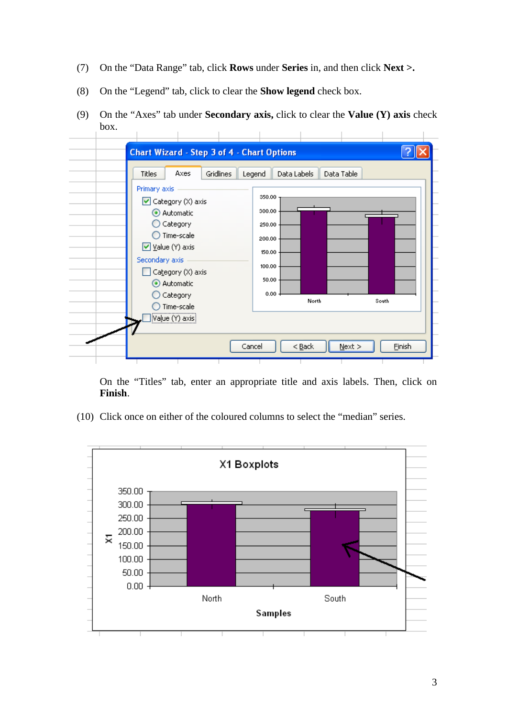- (7) On the "Data Range" tab, click **Rows** under **Series** in, and then click **Next >.**
- (8) On the "Legend" tab, click to clear the **Show legend** check box.
- (9) On the "Axes" tab under **Secondary axis,** click to clear the **Value (Y) axis** check box.



On the "Titles" tab, enter an appropriate title and axis labels. Then, click on **Finish**.

(10) Click once on either of the coloured columns to select the "median" series.

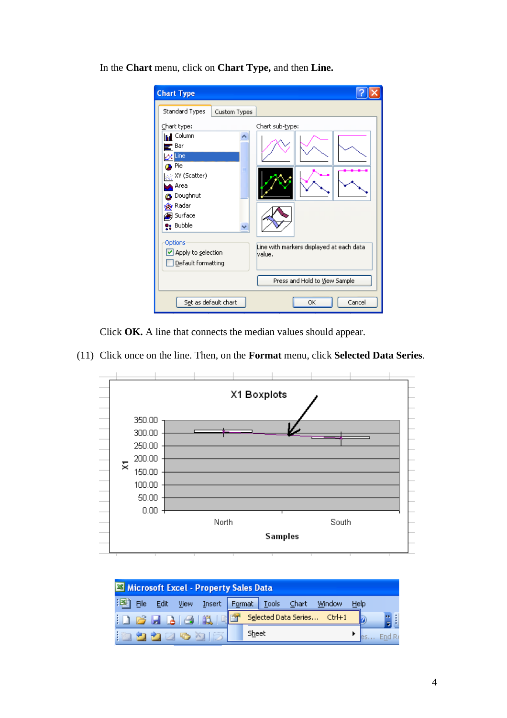In the **Chart** menu, click on **Chart Type,** and then **Line.**

| <b>Chart Type</b>                                                                                                                                                                                                                                                                                                                                                   |        |
|---------------------------------------------------------------------------------------------------------------------------------------------------------------------------------------------------------------------------------------------------------------------------------------------------------------------------------------------------------------------|--------|
| Standard Types<br>Custom Types<br>Chart sub-type:<br>Chart type:<br><b>Ind</b> Column<br>Bar<br>$\alpha$ Line<br>Pie<br>$ \psi\rangle$ XY (Scatter)<br>Area<br>Doughnut<br><b>Radar</b><br>g Surface<br>e: Bubble<br>Options<br>Line with markers displayed at each data.<br>■ Apply to selection<br>lvalue.<br>Default formatting<br>Press and Hold to View Sample |        |
| Set as default chart<br>ОK                                                                                                                                                                                                                                                                                                                                          | Cancel |

Click **OK.** A line that connects the median values should appear.

(11) Click once on the line. Then, on the **Format** menu, click **Selected Data Series**.



| Microsoft Excel - Property Sales Data |      |  |                         |                                                         |  |
|---------------------------------------|------|--|-------------------------|---------------------------------------------------------|--|
| File                                  | Edit |  |                         | View Insert Format Tools Chart<br><b>Window</b><br>Help |  |
|                                       |      |  | <u>: Defelaiain, Ré</u> | Selected Data Series Ctrl+1                             |  |
|                                       |      |  | <u>in a a ze a dizi</u> | Sheet                                                   |  |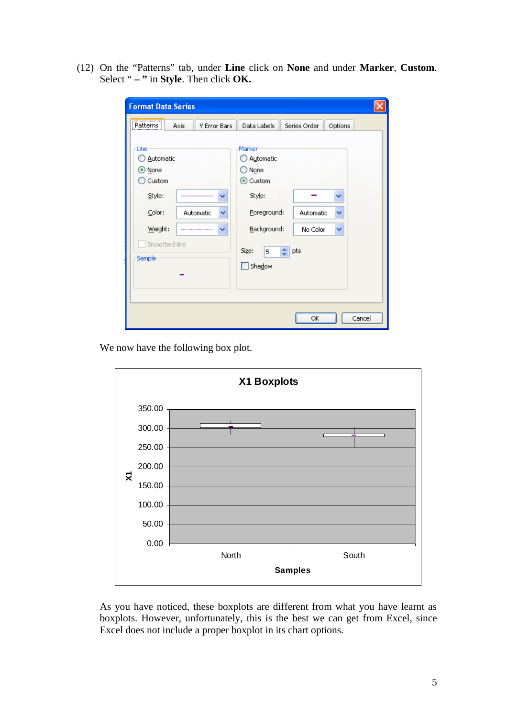(12) On the "Patterns" tab, under **Line** click on **None** and under **Marker**, **Custom**. Select " **– "** in **Style**. Then click **OK.**

| <b>Format Data Series</b>                                                                                         |                                                                                                                                                             |  |  |
|-------------------------------------------------------------------------------------------------------------------|-------------------------------------------------------------------------------------------------------------------------------------------------------------|--|--|
| $[$ Patterns $]$<br>Y Error Bars<br><b>Axis</b>                                                                   | Data Labels<br>Series Order<br>Options                                                                                                                      |  |  |
| Line<br>Automatic<br>⊙ None<br>Custom<br>Style:<br>Color:<br>Automatic<br>Weight:<br>v<br>Smoothed line<br>Sample | Marker<br>Automatic<br>None<br>⊙ Custom<br>Style:<br>×<br>Foreground:<br>Automatic<br>▿<br>Background:<br>No Color<br>v<br>Size:<br>pts<br>÷<br>5<br>Shadow |  |  |
|                                                                                                                   | Cancel<br>ОК                                                                                                                                                |  |  |

We now have the following box plot.



As you have noticed, these boxplots are different from what you have learnt as boxplots. However, unfortunately, this is the best we can get from Excel, since Excel does not include a proper boxplot in its chart options.